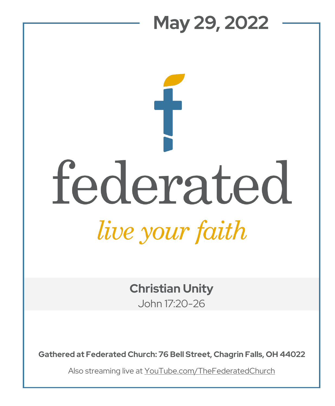## **May 29, 2022**  federated *live your faith*

**Christian Unity** John 17:20-26

**Gathered at Federated Church: 76 Bell Street, Chagrin Falls, OH 44022**

Also streaming live at YouTube.com/TheFederatedChurch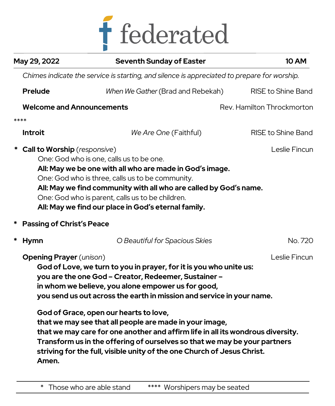

|      | May 29, 2022                                                                                                                                                                                                                                                                                                                                                                                | <b>Seventh Sunday of Easter</b>                                                                                                                              | <b>10 AM</b>               |
|------|---------------------------------------------------------------------------------------------------------------------------------------------------------------------------------------------------------------------------------------------------------------------------------------------------------------------------------------------------------------------------------------------|--------------------------------------------------------------------------------------------------------------------------------------------------------------|----------------------------|
|      |                                                                                                                                                                                                                                                                                                                                                                                             | Chimes indicate the service is starting, and silence is appreciated to prepare for worship.                                                                  |                            |
|      | <b>Prelude</b>                                                                                                                                                                                                                                                                                                                                                                              | When We Gather (Brad and Rebekah)                                                                                                                            | <b>RISE to Shine Band</b>  |
|      | <b>Welcome and Announcements</b>                                                                                                                                                                                                                                                                                                                                                            |                                                                                                                                                              | Rev. Hamilton Throckmorton |
| **** |                                                                                                                                                                                                                                                                                                                                                                                             |                                                                                                                                                              |                            |
|      | <b>Introit</b>                                                                                                                                                                                                                                                                                                                                                                              | We Are One (Faithful)                                                                                                                                        | RISE to Shine Band         |
|      | * Call to Worship (responsive)<br>Leslie Fincun<br>One: God who is one, calls us to be one.<br>All: May we be one with all who are made in God's image.<br>One: God who is three, calls us to be community.<br>All: May we find community with all who are called by God's name.<br>One: God who is parent, calls us to be children.<br>All: May we find our place in God's eternal family. |                                                                                                                                                              |                            |
|      | <b>Passing of Christ's Peace</b>                                                                                                                                                                                                                                                                                                                                                            |                                                                                                                                                              |                            |
| *    | <b>Hymn</b>                                                                                                                                                                                                                                                                                                                                                                                 | O Beautiful for Spacious Skies                                                                                                                               | No. 720                    |
|      | <b>Opening Prayer</b> (unison)<br>God of Love, we turn to you in prayer, for it is you who unite us:<br>you are the one God - Creator, Redeemer, Sustainer -<br>in whom we believe, you alone empower us for good,<br>you send us out across the earth in mission and service in your name.                                                                                                 |                                                                                                                                                              | Leslie Fincun              |
|      | God of Grace, open our hearts to love,<br>that we may see that all people are made in your image,<br>striving for the full, visible unity of the one Church of Jesus Christ.<br>Amen.                                                                                                                                                                                                       | that we may care for one another and affirm life in all its wondrous diversity.<br>Transform us in the offering of ourselves so that we may be your partners |                            |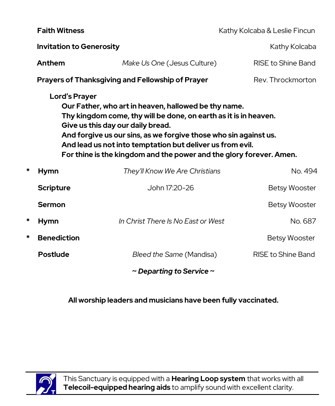|                                                                                                                                                                                                                                                                                                                                                                                               | <b>Faith Witness</b>               |                                                         | Kathy Kolcaba & Leslie Fincun |  |  |
|-----------------------------------------------------------------------------------------------------------------------------------------------------------------------------------------------------------------------------------------------------------------------------------------------------------------------------------------------------------------------------------------------|------------------------------------|---------------------------------------------------------|-------------------------------|--|--|
|                                                                                                                                                                                                                                                                                                                                                                                               | <b>Invitation to Generosity</b>    |                                                         | Kathy Kolcaba                 |  |  |
|                                                                                                                                                                                                                                                                                                                                                                                               | Anthem                             | Make Us One (Jesus Culture)                             | RISE to Shine Band            |  |  |
|                                                                                                                                                                                                                                                                                                                                                                                               |                                    | <b>Prayers of Thanksgiving and Fellowship of Prayer</b> | Rev. Throckmorton             |  |  |
| <b>Lord's Prayer</b><br>Our Father, who art in heaven, hallowed be thy name.<br>Thy kingdom come, thy will be done, on earth as it is in heaven.<br>Give us this day our daily bread.<br>And forgive us our sins, as we forgive those who sin against us.<br>And lead us not into temptation but deliver us from evil.<br>For thine is the kingdom and the power and the glory forever. Amen. |                                    |                                                         |                               |  |  |
| *                                                                                                                                                                                                                                                                                                                                                                                             | <b>Hymn</b>                        | They'll Know We Are Christians                          | No. 494                       |  |  |
|                                                                                                                                                                                                                                                                                                                                                                                               | <b>Scripture</b>                   | John 17:20-26                                           | <b>Betsy Wooster</b>          |  |  |
|                                                                                                                                                                                                                                                                                                                                                                                               | Sermon                             |                                                         | <b>Betsy Wooster</b>          |  |  |
| *                                                                                                                                                                                                                                                                                                                                                                                             | <b>Hymn</b>                        | In Christ There Is No East or West                      | No. 687                       |  |  |
| *                                                                                                                                                                                                                                                                                                                                                                                             | <b>Benediction</b>                 |                                                         | <b>Betsy Wooster</b>          |  |  |
|                                                                                                                                                                                                                                                                                                                                                                                               | <b>Postlude</b>                    | Bleed the Same (Mandisa)                                | <b>RISE to Shine Band</b>     |  |  |
|                                                                                                                                                                                                                                                                                                                                                                                               | $\sim$ Departing to Service $\sim$ |                                                         |                               |  |  |

## **All worship leaders and musicians have been fully vaccinated.**



This Sanctuary is equipped with a **Hearing Loop system** that works with all **Telecoil-equipped hearing aids** to amplify sound with excellent clarity.